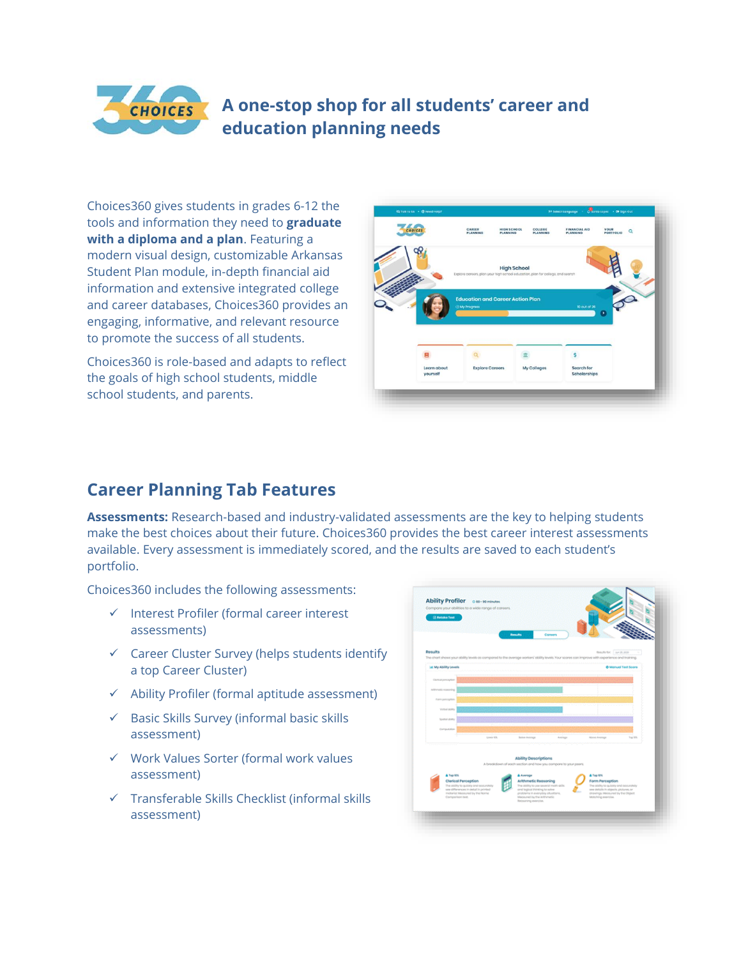#### **A one-stop shop for all students' career and CHOICES education planning needs**

Choices360 gives students in grades 6-12 the tools and information they need to **graduate with a diploma and a plan**. Featuring a modern visual design, customizable Arkansas Student Plan module, in-depth financial aid information and extensive integrated college and career databases, Choices360 provides an engaging, informative, and relevant resource to promote the success of all students.

Choices360 is role-based and adapts to reflect the goals of high school students, middle school students, and parents.



# **Career Planning Tab Features**

**Assessments:** Research-based and industry-validated assessments are the key to helping students make the best choices about their future. Choices360 provides the best career interest assessments available. Every assessment is immediately scored, and the results are saved to each student's portfolio.

Choices360 includes the following assessments:

- ✓ Interest Profiler (formal career interest assessments)
- $\checkmark$  Career Cluster Survey (helps students identify a top Career Cluster)
- $\checkmark$  Ability Profiler (formal aptitude assessment)
- ✓ Basic Skills Survey (informal basic skills assessment)
- ✓ Work Values Sorter (formal work values assessment)
- ✓ Transferable Skills Checklist (informal skills assessment)

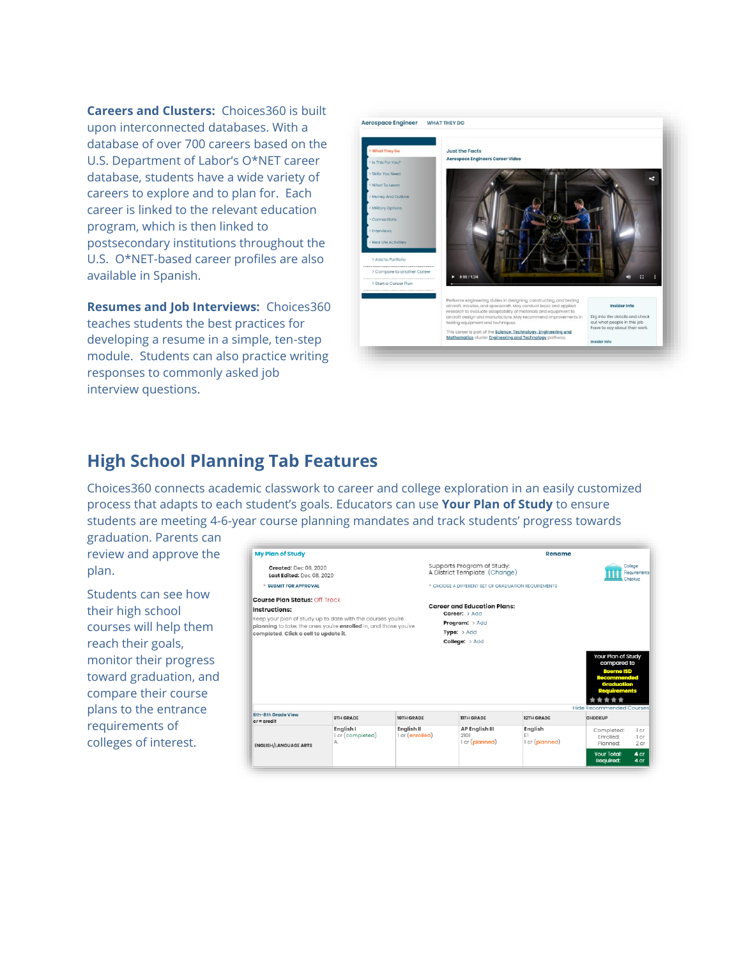**Careers and Clusters:** Choices360 is built upon interconnected databases. With a database of over 700 careers based on the U.S. Department of Labor's O\*NET career database, students have a wide variety of careers to explore and to plan for. Each career is linked to the relevant education program, which is then linked to postsecondary institutions throughout the U.S. O\*NET-based career profiles are also available in Spanish.

**Resumes and Job Interviews:** Choices360 teaches students the best practices for developing a resume in a simple, ten-step module. Students can also practice writing responses to commonly asked job interview questions.



#### **High School Planning Tab Features**

Choices360 connects academic classwork to career and college exploration in an easily customized process that adapts to each student's goals. Educators can use **Your Plan of Study** to ensure students are meeting 4-6-year course planning mandates and track students' progress towards

graduation. Parents can review and approve the plan.

Students can see how their high school courses will help them reach their goals, monitor their progress toward graduation, and compare their course plans to the entrance requirements of colleges of interest.

| <b>My Plan of Study</b>                                                                                                                                                                                                         |                  |                   | Rename                                                                                                          |                                    |                                                                                             |  |
|---------------------------------------------------------------------------------------------------------------------------------------------------------------------------------------------------------------------------------|------------------|-------------------|-----------------------------------------------------------------------------------------------------------------|------------------------------------|---------------------------------------------------------------------------------------------|--|
| <b>Created:</b> Dec 08, 2020<br>Last Edited: Dec 08, 2020                                                                                                                                                                       |                  |                   | Supports Program of Study:<br>A District Template (Change)                                                      | College<br>Requirements<br>Checkup |                                                                                             |  |
| <b>&gt; SUBMIT FOR APPROVAL</b>                                                                                                                                                                                                 |                  |                   | > CHOOSE A DIFFERENT SET OF GRADUATION REQUIREMENTS                                                             |                                    |                                                                                             |  |
| <b>Course Plan Status: Off Track</b><br>Instructions:<br>Keep your plan of study up to date with the courses you're<br>planning to take, the ones you're enrolled in, and those you've<br>completed. Click a cell to update it. |                  |                   | <b>Career and Education Plans:</b><br>Career: > Add<br><b>Program:</b> > Add<br>Type: $> Add$<br>College: > Add |                                    | <b>Your Plan of Study</b>                                                                   |  |
|                                                                                                                                                                                                                                 |                  |                   |                                                                                                                 |                                    | compared to<br><b>Boerne ISD</b><br><b>Recommended</b><br>Graduation<br><b>Requirements</b> |  |
| 6th-8th Grade View<br>$cr \equiv \text{cradi}t$                                                                                                                                                                                 | <b>9TH GRADE</b> | <b>10TH GRADE</b> | <b>IITH GRADE</b>                                                                                               | <b>12TH GRADE</b>                  | <b>Hide Recommended Courses</b><br><b>CHECKUP</b>                                           |  |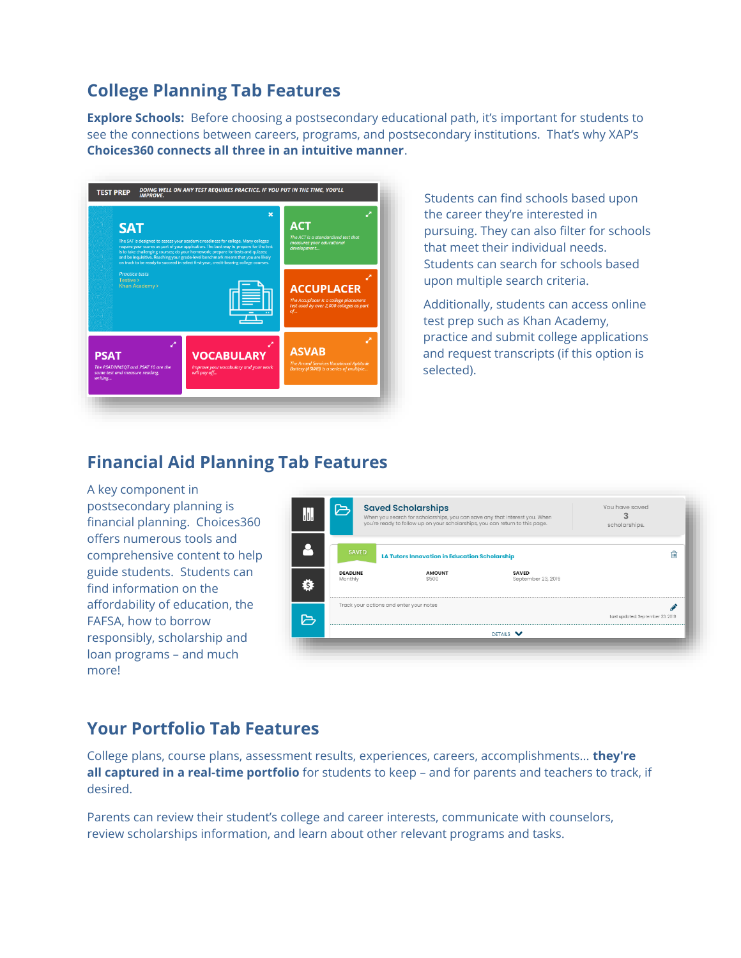# **College Planning Tab Features**

**Explore Schools:** Before choosing a postsecondary educational path, it's important for students to see the connections between careers, programs, and postsecondary institutions. That's why XAP's **Choices360 connects all three in an intuitive manner**.



Students can find schools based upon the career they're interested in pursuing. They can also filter for schools that meet their individual needs. Students can search for schools based upon multiple search criteria.

Additionally, students can access online test prep such as Khan Academy, practice and submit college applications and request transcripts (if this option is selected).

## **Financial Aid Planning Tab Features**

A key component in postsecondary planning is financial planning. Choices360 offers numerous tools and comprehensive content to help guide students. Students can find information on the affordability of education, the FAFSA, how to borrow responsibly, scholarship and loan programs – and much more!



## **Your Portfolio Tab Features**

College plans, course plans, assessment results, experiences, careers, accomplishments... **they're all captured in a real-time portfolio** for students to keep – and for parents and teachers to track, if desired.

Parents can review their student's college and career interests, communicate with counselors, review scholarships information, and learn about other relevant programs and tasks.